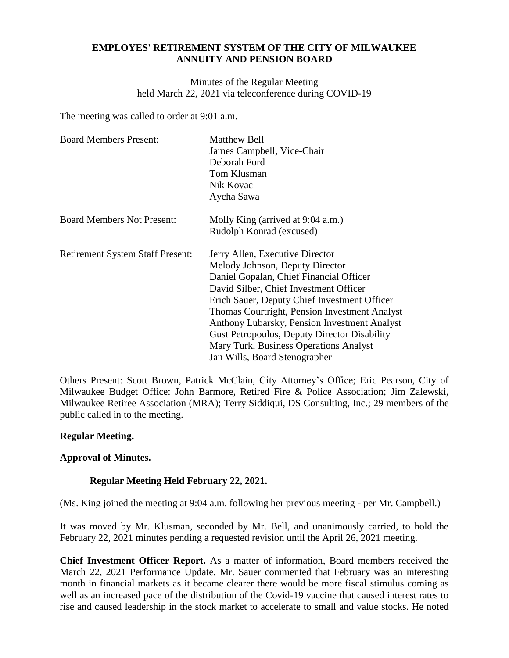## **EMPLOYES' RETIREMENT SYSTEM OF THE CITY OF MILWAUKEE ANNUITY AND PENSION BOARD**

Minutes of the Regular Meeting held March 22, 2021 via teleconference during COVID-19

The meeting was called to order at 9:01 a.m.

| <b>Board Members Present:</b>           | Matthew Bell                                        |
|-----------------------------------------|-----------------------------------------------------|
|                                         | James Campbell, Vice-Chair                          |
|                                         | Deborah Ford                                        |
|                                         | Tom Klusman                                         |
|                                         | Nik Kovac                                           |
|                                         | Aycha Sawa                                          |
| <b>Board Members Not Present:</b>       | Molly King (arrived at 9:04 a.m.)                   |
|                                         | Rudolph Konrad (excused)                            |
| <b>Retirement System Staff Present:</b> | Jerry Allen, Executive Director                     |
|                                         | Melody Johnson, Deputy Director                     |
|                                         | Daniel Gopalan, Chief Financial Officer             |
|                                         | David Silber, Chief Investment Officer              |
|                                         | Erich Sauer, Deputy Chief Investment Officer        |
|                                         | Thomas Courtright, Pension Investment Analyst       |
|                                         | Anthony Lubarsky, Pension Investment Analyst        |
|                                         | <b>Gust Petropoulos, Deputy Director Disability</b> |
|                                         | Mary Turk, Business Operations Analyst              |
|                                         | Jan Wills, Board Stenographer                       |

Others Present: Scott Brown, Patrick McClain, City Attorney's Office; Eric Pearson, City of Milwaukee Budget Office: John Barmore, Retired Fire & Police Association; Jim Zalewski, Milwaukee Retiree Association (MRA); Terry Siddiqui, DS Consulting, Inc.; 29 members of the public called in to the meeting.

## **Regular Meeting.**

## **Approval of Minutes.**

# **Regular Meeting Held February 22, 2021.**

(Ms. King joined the meeting at 9:04 a.m. following her previous meeting - per Mr. Campbell.)

It was moved by Mr. Klusman, seconded by Mr. Bell, and unanimously carried, to hold the February 22, 2021 minutes pending a requested revision until the April 26, 2021 meeting.

**Chief Investment Officer Report.** As a matter of information, Board members received the March 22, 2021 Performance Update. Mr. Sauer commented that February was an interesting month in financial markets as it became clearer there would be more fiscal stimulus coming as well as an increased pace of the distribution of the Covid-19 vaccine that caused interest rates to rise and caused leadership in the stock market to accelerate to small and value stocks. He noted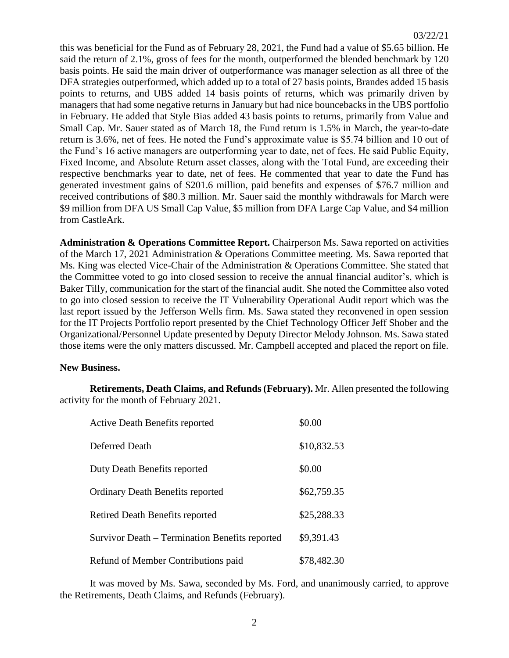this was beneficial for the Fund as of February 28, 2021, the Fund had a value of \$5.65 billion. He said the return of 2.1%, gross of fees for the month, outperformed the blended benchmark by 120 basis points. He said the main driver of outperformance was manager selection as all three of the DFA strategies outperformed, which added up to a total of 27 basis points, Brandes added 15 basis points to returns, and UBS added 14 basis points of returns, which was primarily driven by managers that had some negative returns in January but had nice bouncebacks in the UBS portfolio in February. He added that Style Bias added 43 basis points to returns, primarily from Value and Small Cap. Mr. Sauer stated as of March 18, the Fund return is 1.5% in March, the year-to-date return is 3.6%, net of fees. He noted the Fund's approximate value is \$5.74 billion and 10 out of the Fund's 16 active managers are outperforming year to date, net of fees. He said Public Equity, Fixed Income, and Absolute Return asset classes, along with the Total Fund, are exceeding their respective benchmarks year to date, net of fees. He commented that year to date the Fund has generated investment gains of \$201.6 million, paid benefits and expenses of \$76.7 million and received contributions of \$80.3 million. Mr. Sauer said the monthly withdrawals for March were \$9 million from DFA US Small Cap Value, \$5 million from DFA Large Cap Value, and \$4 million from CastleArk.

**Administration & Operations Committee Report.** Chairperson Ms. Sawa reported on activities of the March 17, 2021 Administration & Operations Committee meeting. Ms. Sawa reported that Ms. King was elected Vice-Chair of the Administration & Operations Committee. She stated that the Committee voted to go into closed session to receive the annual financial auditor's, which is Baker Tilly, communication for the start of the financial audit. She noted the Committee also voted to go into closed session to receive the IT Vulnerability Operational Audit report which was the last report issued by the Jefferson Wells firm. Ms. Sawa stated they reconvened in open session for the IT Projects Portfolio report presented by the Chief Technology Officer Jeff Shober and the Organizational/Personnel Update presented by Deputy Director Melody Johnson. Ms. Sawa stated those items were the only matters discussed. Mr. Campbell accepted and placed the report on file.

#### **New Business.**

**Retirements, Death Claims, and Refunds (February).** Mr. Allen presented the following activity for the month of February 2021.

| <b>Active Death Benefits reported</b>          | \$0.00      |
|------------------------------------------------|-------------|
| Deferred Death                                 | \$10,832.53 |
| Duty Death Benefits reported                   | \$0.00      |
| <b>Ordinary Death Benefits reported</b>        | \$62,759.35 |
| <b>Retired Death Benefits reported</b>         | \$25,288.33 |
| Survivor Death – Termination Benefits reported | \$9,391.43  |
| Refund of Member Contributions paid            | \$78,482.30 |

It was moved by Ms. Sawa, seconded by Ms. Ford, and unanimously carried, to approve the Retirements, Death Claims, and Refunds (February).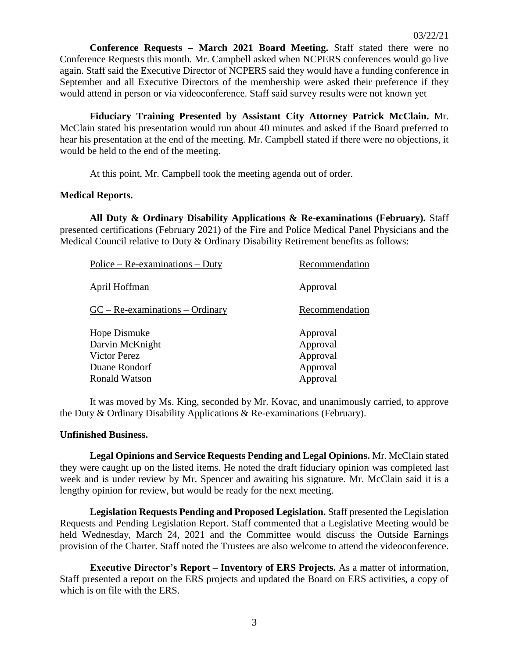**Conference Requests – March 2021 Board Meeting.** Staff stated there were no Conference Requests this month. Mr. Campbell asked when NCPERS conferences would go live again. Staff said the Executive Director of NCPERS said they would have a funding conference in September and all Executive Directors of the membership were asked their preference if they would attend in person or via videoconference. Staff said survey results were not known yet

**Fiduciary Training Presented by Assistant City Attorney Patrick McClain.** Mr. McClain stated his presentation would run about 40 minutes and asked if the Board preferred to hear his presentation at the end of the meeting. Mr. Campbell stated if there were no objections, it would be held to the end of the meeting.

At this point, Mr. Campbell took the meeting agenda out of order.

### **Medical Reports.**

**All Duty & Ordinary Disability Applications & Re-examinations (February).** Staff presented certifications (February 2021) of the Fire and Police Medical Panel Physicians and the Medical Council relative to Duty & Ordinary Disability Retirement benefits as follows:

| $Police - Re-examinations - Duty$                                                 | Recommendation                                           |
|-----------------------------------------------------------------------------------|----------------------------------------------------------|
| April Hoffman                                                                     | Approval                                                 |
| $GC - Re-examinations - Ordinary$                                                 | Recommendation                                           |
| Hope Dismuke<br>Darvin McKnight<br>Victor Perez<br>Duane Rondorf<br>Ronald Watson | Approval<br>Approval<br>Approval<br>Approval<br>Approval |

It was moved by Ms. King, seconded by Mr. Kovac, and unanimously carried, to approve the Duty & Ordinary Disability Applications & Re-examinations (February).

#### **Unfinished Business.**

**Legal Opinions and Service Requests Pending and Legal Opinions.** Mr. McClain stated they were caught up on the listed items. He noted the draft fiduciary opinion was completed last week and is under review by Mr. Spencer and awaiting his signature. Mr. McClain said it is a lengthy opinion for review, but would be ready for the next meeting.

**Legislation Requests Pending and Proposed Legislation.** Staff presented the Legislation Requests and Pending Legislation Report. Staff commented that a Legislative Meeting would be held Wednesday, March 24, 2021 and the Committee would discuss the Outside Earnings provision of the Charter. Staff noted the Trustees are also welcome to attend the videoconference.

**Executive Director's Report – Inventory of ERS Projects.** As a matter of information, Staff presented a report on the ERS projects and updated the Board on ERS activities, a copy of which is on file with the ERS.